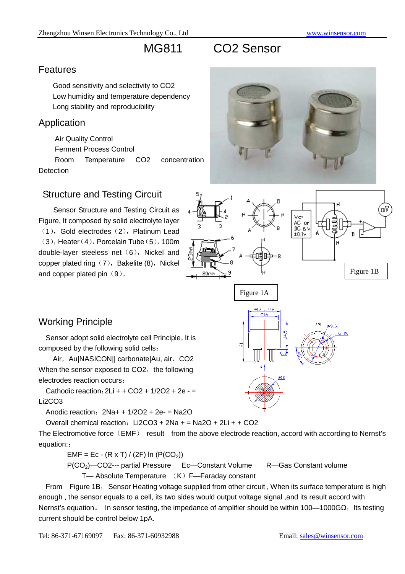# MG811 CO2 Sensor

#### Features

Good sensitivity and selectivity to CO2 Low humidity and temperature dependency Long stability and reproducibility

### Application

Air Quality Control

Ferment Process Control

Room Temperature CO2 concentration Detection

## Structure and Testing Circuit

Sensor Structure and Testing Circuit as Figure, It composed by solid electrolyte layer  $(1)$ , Gold electrodes  $(2)$ , Platinum Lead  $(3)$ , Heater $(4)$ , Porcelain Tube $(5)$ , 100m double-layer steeless net (6), Nickel and copper plated ring (7), Bakelite (8), Nickel and copper plated pin  $(9)$ .





# Working Principle

Sensor adopt solid electrolyte cell Principle, It is composed by the following solid cells:

Air, Au|NASICON|| carbonate|Au, air, CO2 When the sensor exposed to CO2, the following electrodes reaction occurs.

Cathodic reaction:  $2Li + + CO2 + 1/2O2 + 2e -$ Li2CO3

Anodic reaction:  $2Na + 1/2O2 + 2e = Na2O$ 

Overall chemical reaction:  $Li2CO3 + 2Na + = Na2O + 2Li + + CO2$ 

The Electromotive force (EMF) result from the above electrode reaction, accord with according to Nernst's equation::

EMF = Ec - (R x T) / (2F) ln (P(CO<sub>2</sub>))

P(CO2)—CO2--- partial Pressure Ec—Constant Volume R—Gas Constant volume

T— Absolute Temperature (K) F—Faraday constant

From Figure 1B, Sensor Heating voltage supplied from other circuit, When its surface temperature is high enough , the sensor equals to a cell, its two sides would output voltage signal ,and its result accord with Nernst's equation. In sensor testing, the impedance of amplifier should be within 100—1000G $\Omega$ , Its testing current should be control below 1pA.



តងា